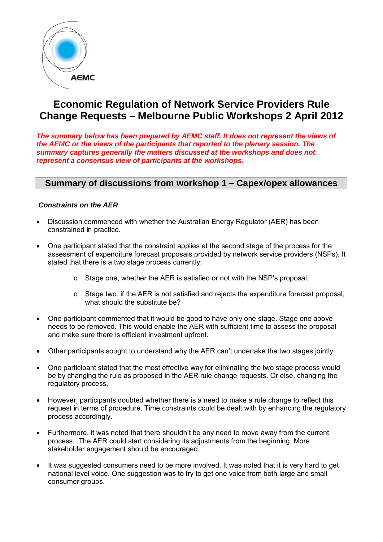

# **Economic Regulation of Network Service Providers Rule Change Requests – Melbourne Public Workshops 2 April 2012**

*The summary below has been prepared by AEMC staff. It does not represent the views of the AEMC or the views of the participants that reported to the plenary session. The summary captures generally the matters discussed at the workshops and does not represent a consensus view of participants at the workshops.*

## **Summary of discussions from workshop 1 – Capex/opex allowances**

## *Constraints on the AER*

- Discussion commenced with whether the Australian Energy Regulator (AER) has been constrained in practice.
- One participant stated that the constraint applies at the second stage of the process for the assessment of expenditure forecast proposals provided by network service providers (NSPs). It stated that there is a two stage process currently:
	- o Stage one, whether the AER is satisfied or not with the NSP's proposal;
	- o Stage two, if the AER is not satisfied and rejects the expenditure forecast proposal, what should the substitute be?
- One participant commented that it would be good to have only one stage. Stage one above needs to be removed. This would enable the AER with sufficient time to assess the proposal and make sure there is efficient investment upfront.
- Other participants sought to understand why the AER can't undertake the two stages jointly.
- One participant stated that the most effective way for eliminating the two stage process would be by changing the rule as proposed in the AER rule change requests. Or else, changing the regulatory process.
- However, participants doubted whether there is a need to make a rule change to reflect this request in terms of procedure. Time constraints could be dealt with by enhancing the regulatory process accordingly.
- Furthermore, it was noted that there shouldn't be any need to move away from the current process. The AER could start considering its adjustments from the beginning. More stakeholder engagement should be encouraged.
- It was suggested consumers need to be more involved. It was noted that it is very hard to get national level voice. One suggestion was to try to get one voice from both large and small consumer groups.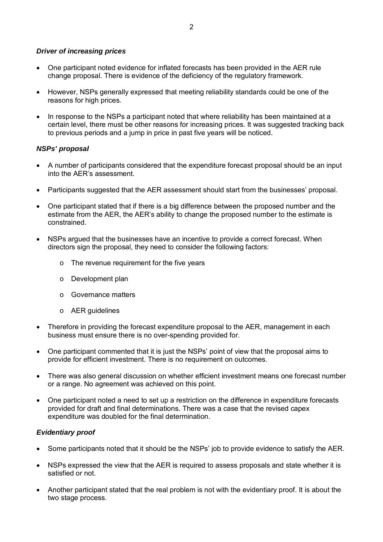## *Driver of increasing prices*

- One participant noted evidence for inflated forecasts has been provided in the AER rule change proposal. There is evidence of the deficiency of the regulatory framework.
- However, NSPs generally expressed that meeting reliability standards could be one of the reasons for high prices.
- In response to the NSPs a participant noted that where reliability has been maintained at a certain level, there must be other reasons for increasing prices. It was suggested tracking back to previous periods and a jump in price in past five years will be noticed.

## *NSPs' proposal*

- A number of participants considered that the expenditure forecast proposal should be an input into the AER's assessment.
- Participants suggested that the AER assessment should start from the businesses' proposal.
- One participant stated that if there is a big difference between the proposed number and the estimate from the AER, the AER's ability to change the proposed number to the estimate is constrained.
- NSPs argued that the businesses have an incentive to provide a correct forecast. When directors sign the proposal, they need to consider the following factors:
	- o The revenue requirement for the five years
	- o Development plan
	- o Governance matters
	- o AER guidelines
- Therefore in providing the forecast expenditure proposal to the AER, management in each business must ensure there is no over-spending provided for.
- One participant commented that it is just the NSPs' point of view that the proposal aims to provide for efficient investment. There is no requirement on outcomes.
- There was also general discussion on whether efficient investment means one forecast number or a range. No agreement was achieved on this point.
- One participant noted a need to set up a restriction on the difference in expenditure forecasts provided for draft and final determinations. There was a case that the revised capex expenditure was doubled for the final determination.

#### *Evidentiary proof*

- Some participants noted that it should be the NSPs' job to provide evidence to satisfy the AER.
- NSPs expressed the view that the AER is required to assess proposals and state whether it is satisfied or not.
- Another participant stated that the real problem is not with the evidentiary proof. It is about the two stage process.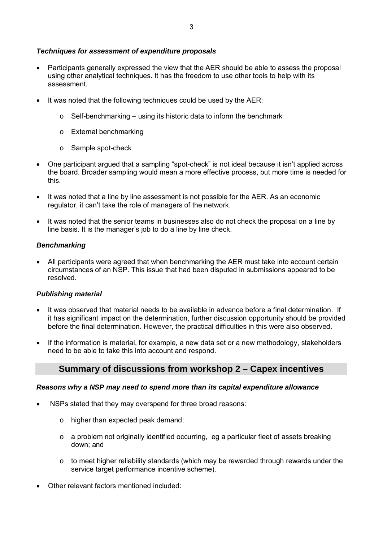## *Techniques for assessment of expenditure proposals*

- Participants generally expressed the view that the AER should be able to assess the proposal using other analytical techniques. It has the freedom to use other tools to help with its assessment.
- It was noted that the following techniques could be used by the AER:
	- $\circ$  Self-benchmarking using its historic data to inform the benchmark
	- o External benchmarking
	- o Sample spot-check
- One participant argued that a sampling "spot-check" is not ideal because it isn't applied across the board. Broader sampling would mean a more effective process, but more time is needed for this.
- It was noted that a line by line assessment is not possible for the AER. As an economic regulator, it can't take the role of managers of the network.
- It was noted that the senior teams in businesses also do not check the proposal on a line by line basis. It is the manager's job to do a line by line check.

## *Benchmarking*

• All participants were agreed that when benchmarking the AER must take into account certain circumstances of an NSP. This issue that had been disputed in submissions appeared to be resolved.

## *Publishing material*

- It was observed that material needs to be available in advance before a final determination. If it has significant impact on the determination, further discussion opportunity should be provided before the final determination. However, the practical difficulties in this were also observed.
- If the information is material, for example, a new data set or a new methodology, stakeholders need to be able to take this into account and respond.

## **Summary of discussions from workshop 2 – Capex incentives**

## *Reasons why a NSP may need to spend more than its capital expenditure allowance*

- NSPs stated that they may overspend for three broad reasons:
	- o higher than expected peak demand;
	- $\circ$  a problem not originally identified occurring, eg a particular fleet of assets breaking down; and
	- o to meet higher reliability standards (which may be rewarded through rewards under the service target performance incentive scheme).
- Other relevant factors mentioned included: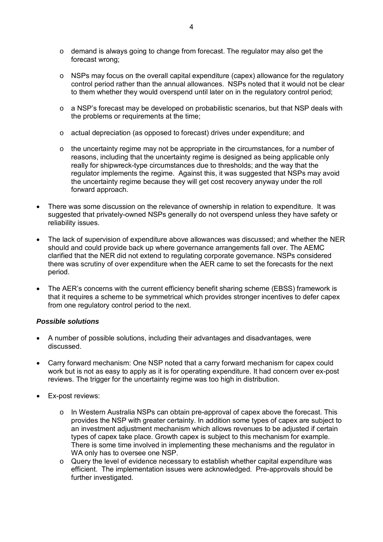- o demand is always going to change from forecast. The regulator may also get the forecast wrong;
- $\circ$  NSPs may focus on the overall capital expenditure (capex) allowance for the regulatory control period rather than the annual allowances. NSPs noted that it would not be clear to them whether they would overspend until later on in the regulatory control period;
- o a NSP's forecast may be developed on probabilistic scenarios, but that NSP deals with the problems or requirements at the time;
- o actual depreciation (as opposed to forecast) drives under expenditure; and
- $\circ$  the uncertainty regime may not be appropriate in the circumstances, for a number of reasons, including that the uncertainty regime is designed as being applicable only really for shipwreck-type circumstances due to thresholds; and the way that the regulator implements the regime. Against this, it was suggested that NSPs may avoid the uncertainty regime because they will get cost recovery anyway under the roll forward approach.
- There was some discussion on the relevance of ownership in relation to expenditure. It was suggested that privately-owned NSPs generally do not overspend unless they have safety or reliability issues.
- The lack of supervision of expenditure above allowances was discussed; and whether the NER should and could provide back up where governance arrangements fall over. The AEMC clarified that the NER did not extend to regulating corporate governance. NSPs considered there was scrutiny of over expenditure when the AER came to set the forecasts for the next period.
- The AER's concerns with the current efficiency benefit sharing scheme (EBSS) framework is that it requires a scheme to be symmetrical which provides stronger incentives to defer capex from one regulatory control period to the next.

## *Possible solutions*

- A number of possible solutions, including their advantages and disadvantages, were discussed.
- Carry forward mechanism: One NSP noted that a carry forward mechanism for capex could work but is not as easy to apply as it is for operating expenditure. It had concern over ex-post reviews. The trigger for the uncertainty regime was too high in distribution.
- Ex-post reviews:
	- o In Western Australia NSPs can obtain pre-approval of capex above the forecast. This provides the NSP with greater certainty. In addition some types of capex are subject to an investment adjustment mechanism which allows revenues to be adjusted if certain types of capex take place. Growth capex is subject to this mechanism for example. There is some time involved in implementing these mechanisms and the regulator in WA only has to oversee one NSP.
	- o Query the level of evidence necessary to establish whether capital expenditure was efficient. The implementation issues were acknowledged. Pre-approvals should be further investigated.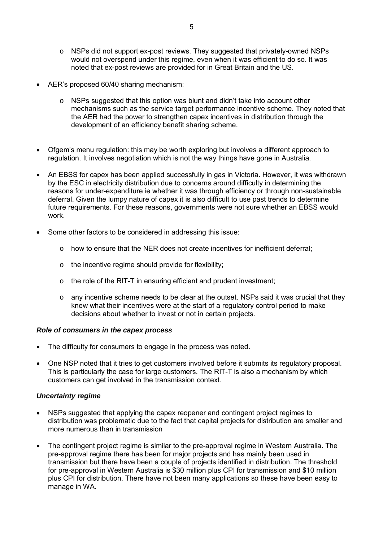- o NSPs did not support ex-post reviews. They suggested that privately-owned NSPs would not overspend under this regime, even when it was efficient to do so. It was noted that ex-post reviews are provided for in Great Britain and the US.
- AER's proposed 60/40 sharing mechanism:
	- $\circ$  NSPs suggested that this option was blunt and didn't take into account other mechanisms such as the service target performance incentive scheme. They noted that the AER had the power to strengthen capex incentives in distribution through the development of an efficiency benefit sharing scheme.
- Ofgem's menu regulation: this may be worth exploring but involves a different approach to regulation. It involves negotiation which is not the way things have gone in Australia.
- An EBSS for capex has been applied successfully in gas in Victoria. However, it was withdrawn by the ESC in electricity distribution due to concerns around difficulty in determining the reasons for under-expenditure ie whether it was through efficiency or through non-sustainable deferral. Given the lumpy nature of capex it is also difficult to use past trends to determine future requirements. For these reasons, governments were not sure whether an EBSS would work.
- Some other factors to be considered in addressing this issue:
	- $\circ$  how to ensure that the NER does not create incentives for inefficient deferral;
	- o the incentive regime should provide for flexibility;
	- o the role of the RIT-T in ensuring efficient and prudent investment;
	- o any incentive scheme needs to be clear at the outset. NSPs said it was crucial that they knew what their incentives were at the start of a regulatory control period to make decisions about whether to invest or not in certain projects.

#### *Role of consumers in the capex process*

- The difficulty for consumers to engage in the process was noted.
- One NSP noted that it tries to get customers involved before it submits its regulatory proposal. This is particularly the case for large customers. The RIT-T is also a mechanism by which customers can get involved in the transmission context.

#### *Uncertainty regime*

- NSPs suggested that applying the capex reopener and contingent project regimes to distribution was problematic due to the fact that capital projects for distribution are smaller and more numerous than in transmission
- The contingent project regime is similar to the pre-approval regime in Western Australia. The pre-approval regime there has been for major projects and has mainly been used in transmission but there have been a couple of projects identified in distribution. The threshold for pre-approval in Western Australia is \$30 million plus CPI for transmission and \$10 million plus CPI for distribution. There have not been many applications so these have been easy to manage in WA.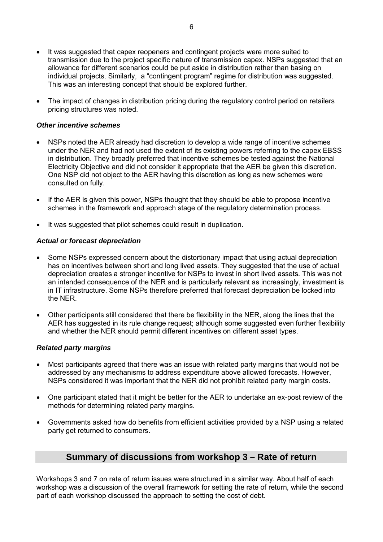- It was suggested that capex reopeners and contingent projects were more suited to transmission due to the project specific nature of transmission capex. NSPs suggested that an allowance for different scenarios could be put aside in distribution rather than basing on individual projects. Similarly, a "contingent program" regime for distribution was suggested. This was an interesting concept that should be explored further.
- The impact of changes in distribution pricing during the regulatory control period on retailers pricing structures was noted.

#### *Other incentive schemes*

- NSPs noted the AER already had discretion to develop a wide range of incentive schemes under the NER and had not used the extent of its existing powers referring to the capex EBSS in distribution. They broadly preferred that incentive schemes be tested against the National Electricity Objective and did not consider it appropriate that the AER be given this discretion. One NSP did not object to the AER having this discretion as long as new schemes were consulted on fully.
- If the AER is given this power, NSPs thought that they should be able to propose incentive schemes in the framework and approach stage of the regulatory determination process.
- It was suggested that pilot schemes could result in duplication.

#### *Actual or forecast depreciation*

- Some NSPs expressed concern about the distortionary impact that using actual depreciation has on incentives between short and long lived assets. They suggested that the use of actual depreciation creates a stronger incentive for NSPs to invest in short lived assets. This was not an intended consequence of the NER and is particularly relevant as increasingly, investment is in IT infrastructure. Some NSPs therefore preferred that forecast depreciation be locked into the NER.
- Other participants still considered that there be flexibility in the NER, along the lines that the AER has suggested in its rule change request; although some suggested even further flexibility and whether the NER should permit different incentives on different asset types.

#### *Related party margins*

- Most participants agreed that there was an issue with related party margins that would not be addressed by any mechanisms to address expenditure above allowed forecasts. However, NSPs considered it was important that the NER did not prohibit related party margin costs.
- One participant stated that it might be better for the AER to undertake an ex-post review of the methods for determining related party margins.
- Governments asked how do benefits from efficient activities provided by a NSP using a related party get returned to consumers.

## **Summary of discussions from workshop 3 – Rate of return**

Workshops 3 and 7 on rate of return issues were structured in a similar way. About half of each workshop was a discussion of the overall framework for setting the rate of return, while the second part of each workshop discussed the approach to setting the cost of debt.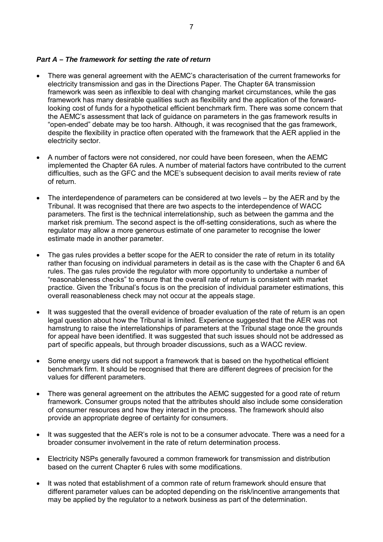#### *Part A – The framework for setting the rate of return*

- There was general agreement with the AEMC's characterisation of the current frameworks for electricity transmission and gas in the Directions Paper. The Chapter 6A transmission framework was seen as inflexible to deal with changing market circumstances, while the gas framework has many desirable qualities such as flexibility and the application of the forwardlooking cost of funds for a hypothetical efficient benchmark firm. There was some concern that the AEMC's assessment that lack of guidance on parameters in the gas framework results in "open-ended" debate may be too harsh. Although, it was recognised that the gas framework, despite the flexibility in practice often operated with the framework that the AER applied in the electricity sector.
- A number of factors were not considered, nor could have been foreseen, when the AEMC implemented the Chapter 6A rules. A number of material factors have contributed to the current difficulties, such as the GFC and the MCE's subsequent decision to avail merits review of rate of return.
- The interdependence of parameters can be considered at two levels by the AER and by the Tribunal. It was recognised that there are two aspects to the interdependence of WACC parameters. The first is the technical interrelationship, such as between the gamma and the market risk premium. The second aspect is the off-setting considerations, such as where the regulator may allow a more generous estimate of one parameter to recognise the lower estimate made in another parameter.
- The gas rules provides a better scope for the AER to consider the rate of return in its totality rather than focusing on individual parameters in detail as is the case with the Chapter 6 and 6A rules. The gas rules provide the regulator with more opportunity to undertake a number of "reasonableness checks" to ensure that the overall rate of return is consistent with market practice. Given the Tribunal's focus is on the precision of individual parameter estimations, this overall reasonableness check may not occur at the appeals stage.
- It was suggested that the overall evidence of broader evaluation of the rate of return is an open legal question about how the Tribunal is limited. Experience suggested that the AER was not hamstrung to raise the interrelationships of parameters at the Tribunal stage once the grounds for appeal have been identified. It was suggested that such issues should not be addressed as part of specific appeals, but through broader discussions, such as a WACC review.
- Some energy users did not support a framework that is based on the hypothetical efficient benchmark firm. It should be recognised that there are different degrees of precision for the values for different parameters.
- There was general agreement on the attributes the AEMC suggested for a good rate of return framework. Consumer groups noted that the attributes should also include some consideration of consumer resources and how they interact in the process. The framework should also provide an appropriate degree of certainty for consumers.
- It was suggested that the AER's role is not to be a consumer advocate. There was a need for a broader consumer involvement in the rate of return determination process.
- Electricity NSPs generally favoured a common framework for transmission and distribution based on the current Chapter 6 rules with some modifications.
- It was noted that establishment of a common rate of return framework should ensure that different parameter values can be adopted depending on the risk/incentive arrangements that may be applied by the regulator to a network business as part of the determination.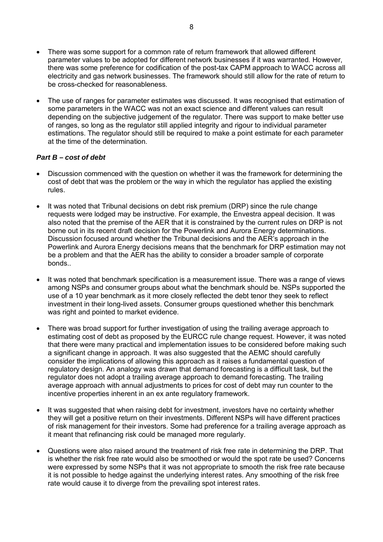- There was some support for a common rate of return framework that allowed different parameter values to be adopted for different network businesses if it was warranted. However, there was some preference for codification of the post-tax CAPM approach to WACC across all electricity and gas network businesses. The framework should still allow for the rate of return to be cross-checked for reasonableness.
- The use of ranges for parameter estimates was discussed. It was recognised that estimation of some parameters in the WACC was not an exact science and different values can result depending on the subjective judgement of the regulator. There was support to make better use of ranges, so long as the regulator still applied integrity and rigour to individual parameter estimations. The regulator should still be required to make a point estimate for each parameter at the time of the determination.

## *Part B – cost of debt*

- Discussion commenced with the question on whether it was the framework for determining the cost of debt that was the problem or the way in which the regulator has applied the existing rules.
- It was noted that Tribunal decisions on debt risk premium (DRP) since the rule change requests were lodged may be instructive. For example, the Envestra appeal decision. It was also noted that the premise of the AER that it is constrained by the current rules on DRP is not borne out in its recent draft decision for the Powerlink and Aurora Energy determinations. Discussion focused around whether the Tribunal decisions and the AER's approach in the Powerlink and Aurora Energy decisions means that the benchmark for DRP estimation may not be a problem and that the AER has the ability to consider a broader sample of corporate bonds..
- It was noted that benchmark specification is a measurement issue. There was a range of views among NSPs and consumer groups about what the benchmark should be. NSPs supported the use of a 10 year benchmark as it more closely reflected the debt tenor they seek to reflect investment in their long-lived assets. Consumer groups questioned whether this benchmark was right and pointed to market evidence.
- There was broad support for further investigation of using the trailing average approach to estimating cost of debt as proposed by the EURCC rule change request. However, it was noted that there were many practical and implementation issues to be considered before making such a significant change in approach. It was also suggested that the AEMC should carefully consider the implications of allowing this approach as it raises a fundamental question of regulatory design. An analogy was drawn that demand forecasting is a difficult task, but the regulator does not adopt a trailing average approach to demand forecasting. The trailing average approach with annual adjustments to prices for cost of debt may run counter to the incentive properties inherent in an ex ante regulatory framework.
- It was suggested that when raising debt for investment, investors have no certainty whether they will get a positive return on their investments. Different NSPs will have different practices of risk management for their investors. Some had preference for a trailing average approach as it meant that refinancing risk could be managed more regularly.
- Questions were also raised around the treatment of risk free rate in determining the DRP. That is whether the risk free rate would also be smoothed or would the spot rate be used? Concerns were expressed by some NSPs that it was not appropriate to smooth the risk free rate because it is not possible to hedge against the underlying interest rates. Any smoothing of the risk free rate would cause it to diverge from the prevailing spot interest rates.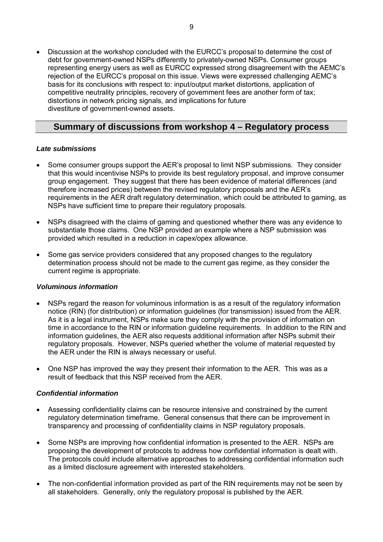• Discussion at the workshop concluded with the EURCC's proposal to determine the cost of debt for government-owned NSPs differently to privately-owned NSPs. Consumer groups representing energy users as well as EURCC expressed strong disagreement with the AEMC's rejection of the EURCC's proposal on this issue. Views were expressed challenging AEMC's basis for its conclusions with respect to: input/output market distortions, application of competitive neutrality principles, recovery of government fees are another form of tax; distortions in network pricing signals, and implications for future divestiture of government-owned assets.

## **Summary of discussions from workshop 4 – Regulatory process**

## *Late submissions*

- Some consumer groups support the AER's proposal to limit NSP submissions. They consider that this would incentivise NSPs to provide its best regulatory proposal, and improve consumer group engagement. They suggest that there has been evidence of material differences (and therefore increased prices) between the revised regulatory proposals and the AER's requirements in the AER draft regulatory determination, which could be attributed to gaming, as NSPs have sufficient time to prepare their regulatory proposals.
- NSPs disagreed with the claims of gaming and questioned whether there was any evidence to substantiate those claims. One NSP provided an example where a NSP submission was provided which resulted in a reduction in capex/opex allowance.
- Some gas service providers considered that any proposed changes to the regulatory determination process should not be made to the current gas regime, as they consider the current regime is appropriate.

## *Voluminous information*

- NSPs regard the reason for voluminous information is as a result of the regulatory information notice (RIN) (for distribution) or information guidelines (for transmission) issued from the AER. As it is a legal instrument, NSPs make sure they comply with the provision of information on time in accordance to the RIN or information guideline requirements. In addition to the RIN and information guidelines, the AER also requests additional information after NSPs submit their regulatory proposals. However, NSPs queried whether the volume of material requested by the AER under the RIN is always necessary or useful.
- One NSP has improved the way they present their information to the AER. This was as a result of feedback that this NSP received from the AER.

## *Confidential information*

- Assessing confidentiality claims can be resource intensive and constrained by the current regulatory determination timeframe. General consensus that there can be improvement in transparency and processing of confidentiality claims in NSP regulatory proposals.
- Some NSPs are improving how confidential information is presented to the AER. NSPs are proposing the development of protocols to address how confidential information is dealt with. The protocols could include alternative approaches to addressing confidential information such as a limited disclosure agreement with interested stakeholders.
- The non-confidential information provided as part of the RIN requirements may not be seen by all stakeholders. Generally, only the regulatory proposal is published by the AER.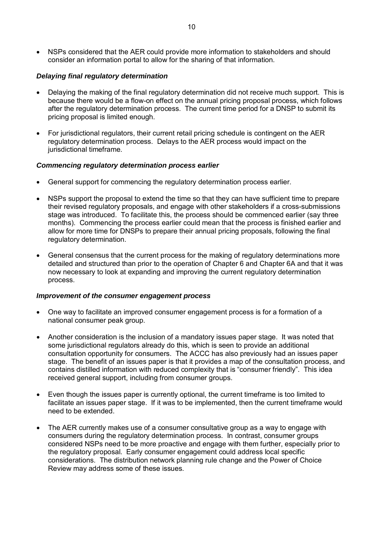• NSPs considered that the AER could provide more information to stakeholders and should consider an information portal to allow for the sharing of that information.

## *Delaying final regulatory determination*

- Delaying the making of the final regulatory determination did not receive much support. This is because there would be a flow-on effect on the annual pricing proposal process, which follows after the regulatory determination process. The current time period for a DNSP to submit its pricing proposal is limited enough.
- For jurisdictional regulators, their current retail pricing schedule is contingent on the AER regulatory determination process. Delays to the AER process would impact on the jurisdictional timeframe.

#### *Commencing regulatory determination process earlier*

- General support for commencing the regulatory determination process earlier.
- NSPs support the proposal to extend the time so that they can have sufficient time to prepare their revised regulatory proposals, and engage with other stakeholders if a cross-submissions stage was introduced. To facilitate this, the process should be commenced earlier (say three months). Commencing the process earlier could mean that the process is finished earlier and allow for more time for DNSPs to prepare their annual pricing proposals, following the final regulatory determination.
- General consensus that the current process for the making of regulatory determinations more detailed and structured than prior to the operation of Chapter 6 and Chapter 6A and that it was now necessary to look at expanding and improving the current regulatory determination process.

#### *Improvement of the consumer engagement process*

- One way to facilitate an improved consumer engagement process is for a formation of a national consumer peak group.
- Another consideration is the inclusion of a mandatory issues paper stage. It was noted that some jurisdictional regulators already do this, which is seen to provide an additional consultation opportunity for consumers. The ACCC has also previously had an issues paper stage. The benefit of an issues paper is that it provides a map of the consultation process, and contains distilled information with reduced complexity that is "consumer friendly". This idea received general support, including from consumer groups.
- Even though the issues paper is currently optional, the current timeframe is too limited to facilitate an issues paper stage. If it was to be implemented, then the current timeframe would need to be extended.
- The AER currently makes use of a consumer consultative group as a way to engage with consumers during the regulatory determination process. In contrast, consumer groups considered NSPs need to be more proactive and engage with them further, especially prior to the regulatory proposal. Early consumer engagement could address local specific considerations. The distribution network planning rule change and the Power of Choice Review may address some of these issues.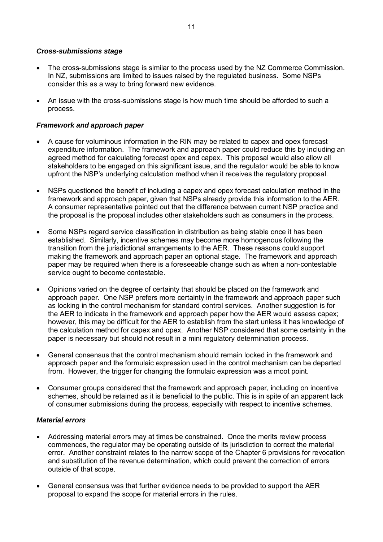#### *Cross-submissions stage*

- The cross-submissions stage is similar to the process used by the NZ Commerce Commission. In NZ, submissions are limited to issues raised by the regulated business. Some NSPs consider this as a way to bring forward new evidence.
- An issue with the cross-submissions stage is how much time should be afforded to such a process.

#### *Framework and approach paper*

- A cause for voluminous information in the RIN may be related to capex and opex forecast expenditure information. The framework and approach paper could reduce this by including an agreed method for calculating forecast opex and capex. This proposal would also allow all stakeholders to be engaged on this significant issue, and the regulator would be able to know upfront the NSP's underlying calculation method when it receives the regulatory proposal.
- NSPs questioned the benefit of including a capex and opex forecast calculation method in the framework and approach paper, given that NSPs already provide this information to the AER. A consumer representative pointed out that the difference between current NSP practice and the proposal is the proposal includes other stakeholders such as consumers in the process.
- Some NSPs regard service classification in distribution as being stable once it has been established. Similarly, incentive schemes may become more homogenous following the transition from the jurisdictional arrangements to the AER. These reasons could support making the framework and approach paper an optional stage. The framework and approach paper may be required when there is a foreseeable change such as when a non-contestable service ought to become contestable.
- Opinions varied on the degree of certainty that should be placed on the framework and approach paper. One NSP prefers more certainty in the framework and approach paper such as locking in the control mechanism for standard control services. Another suggestion is for the AER to indicate in the framework and approach paper how the AER would assess capex; however, this may be difficult for the AER to establish from the start unless it has knowledge of the calculation method for capex and opex. Another NSP considered that some certainty in the paper is necessary but should not result in a mini regulatory determination process.
- General consensus that the control mechanism should remain locked in the framework and approach paper and the formulaic expression used in the control mechanism can be departed from. However, the trigger for changing the formulaic expression was a moot point.
- Consumer groups considered that the framework and approach paper, including on incentive schemes, should be retained as it is beneficial to the public. This is in spite of an apparent lack of consumer submissions during the process, especially with respect to incentive schemes.

#### *Material errors*

- Addressing material errors may at times be constrained. Once the merits review process commences, the regulator may be operating outside of its jurisdiction to correct the material error. Another constraint relates to the narrow scope of the Chapter 6 provisions for revocation and substitution of the revenue determination, which could prevent the correction of errors outside of that scope.
- General consensus was that further evidence needs to be provided to support the AER proposal to expand the scope for material errors in the rules.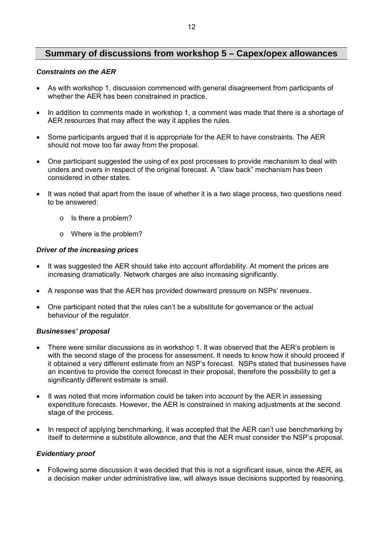## **Summary of discussions from workshop 5 – Capex/opex allowances**

#### *Constraints on the AER*

- As with workshop 1, discussion commenced with general disagreement from participants of whether the AER has been constrained in practice.
- In addition to comments made in workshop 1, a comment was made that there is a shortage of AER resources that may affect the way it applies the rules.
- Some participants argued that it is appropriate for the AER to have constraints. The AER should not move too far away from the proposal.
- One participant suggested the using of ex post processes to provide mechanism to deal with unders and overs in respect of the original forecast. A "claw back" mechanism has been considered in other states.
- It was noted that apart from the issue of whether it is a two stage process, two questions need to be answered:
	- o Is there a problem?
	- o Where is the problem?

## *Driver of the increasing prices*

- It was suggested the AER should take into account affordability. At moment the prices are increasing dramatically. Network charges are also increasing significantly.
- A response was that the AER has provided downward pressure on NSPs' revenues.
- One participant noted that the rules can't be a substitute for governance or the actual behaviour of the regulator.

## *Businesses' proposal*

- There were similar discussions as in workshop 1. It was observed that the AER's problem is with the second stage of the process for assessment. It needs to know how it should proceed if it obtained a very different estimate from an NSP's forecast. NSPs stated that businesses have an incentive to provide the correct forecast in their proposal, therefore the possibility to get a significantly different estimate is small.
- It was noted that more information could be taken into account by the AER in assessing expenditure forecasts. However, the AER is constrained in making adjustments at the second stage of the process.
- In respect of applying benchmarking, it was accepted that the AER can't use benchmarking by itself to determine a substitute allowance, and that the AER must consider the NSP's proposal.

## *Evidentiary proof*

• Following some discussion it was decided that this is not a significant issue, since the AER, as a decision maker under administrative law, will always issue decisions supported by reasoning.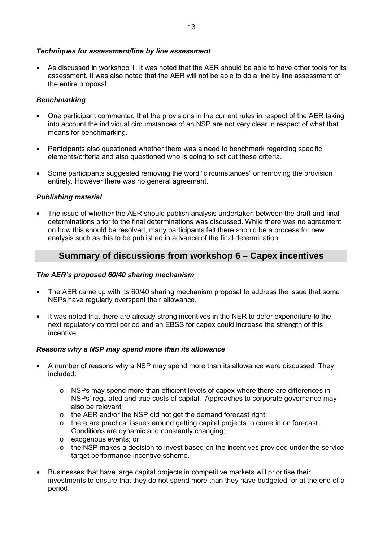## *Techniques for assessment/line by line assessment*

• As discussed in workshop 1, it was noted that the AER should be able to have other tools for its assessment. It was also noted that the AER will not be able to do a line by line assessment of the entire proposal.

#### *Benchmarking*

- One participant commented that the provisions in the current rules in respect of the AER taking into account the individual circumstances of an NSP are not very clear in respect of what that means for benchmarking.
- Participants also questioned whether there was a need to benchmark regarding specific elements/criteria and also questioned who is going to set out these criteria.
- Some participants suggested removing the word "circumstances" or removing the provision entirely. However there was no general agreement.

#### *Publishing material*

• The issue of whether the AER should publish analysis undertaken between the draft and final determinations prior to the final determinations was discussed. While there was no agreement on how this should be resolved, many participants felt there should be a process for new analysis such as this to be published in advance of the final determination.

## **Summary of discussions from workshop 6 – Capex incentives**

#### *The AER's proposed 60/40 sharing mechanism*

- The AER came up with its 60/40 sharing mechanism proposal to address the issue that some NSPs have regularly overspent their allowance.
- It was noted that there are already strong incentives in the NER to defer expenditure to the next regulatory control period and an EBSS for capex could increase the strength of this incentive.

#### *Reasons why a NSP may spend more than its allowance*

- A number of reasons why a NSP may spend more than its allowance were discussed. They included:
	- o NSPs may spend more than efficient levels of capex where there are differences in NSPs' regulated and true costs of capital. Approaches to corporate governance may also be relevant;
	- o the AER and/or the NSP did not get the demand forecast right;
	- o there are practical issues around getting capital projects to come in on forecast. Conditions are dynamic and constantly changing;
	- o exogenous events; or
	- o the NSP makes a decision to invest based on the incentives provided under the service target performance incentive scheme.
- Businesses that have large capital projects in competitive markets will prioritise their investments to ensure that they do not spend more than they have budgeted for at the end of a period.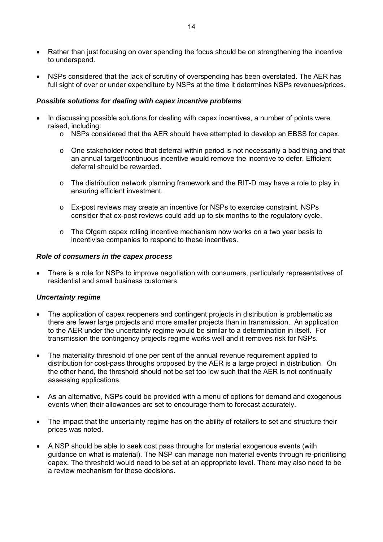- Rather than just focusing on over spending the focus should be on strengthening the incentive to underspend.
- NSPs considered that the lack of scrutiny of overspending has been overstated. The AER has full sight of over or under expenditure by NSPs at the time it determines NSPs revenues/prices.

#### *Possible solutions for dealing with capex incentive problems*

- In discussing possible solutions for dealing with capex incentives, a number of points were raised, including:
	- o NSPs considered that the AER should have attempted to develop an EBSS for capex.
	- o One stakeholder noted that deferral within period is not necessarily a bad thing and that an annual target/continuous incentive would remove the incentive to defer. Efficient deferral should be rewarded.
	- o The distribution network planning framework and the RIT-D may have a role to play in ensuring efficient investment.
	- o Ex-post reviews may create an incentive for NSPs to exercise constraint. NSPs consider that ex-post reviews could add up to six months to the regulatory cycle.
	- o The Ofgem capex rolling incentive mechanism now works on a two year basis to incentivise companies to respond to these incentives.

#### *Role of consumers in the capex process*

• There is a role for NSPs to improve negotiation with consumers, particularly representatives of residential and small business customers.

#### *Uncertainty regime*

- The application of capex reopeners and contingent projects in distribution is problematic as there are fewer large projects and more smaller projects than in transmission. An application to the AER under the uncertainty regime would be similar to a determination in itself. For transmission the contingency projects regime works well and it removes risk for NSPs.
- The materiality threshold of one per cent of the annual revenue requirement applied to distribution for cost-pass throughs proposed by the AER is a large project in distribution. On the other hand, the threshold should not be set too low such that the AER is not continually assessing applications.
- As an alternative, NSPs could be provided with a menu of options for demand and exogenous events when their allowances are set to encourage them to forecast accurately.
- The impact that the uncertainty regime has on the ability of retailers to set and structure their prices was noted.
- A NSP should be able to seek cost pass throughs for material exogenous events (with guidance on what is material). The NSP can manage non material events through re-prioritising capex. The threshold would need to be set at an appropriate level. There may also need to be a review mechanism for these decisions.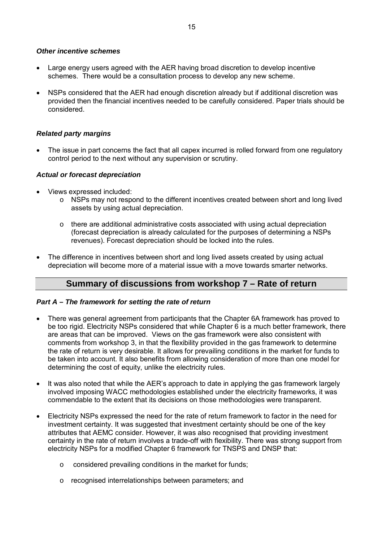#### *Other incentive schemes*

- Large energy users agreed with the AER having broad discretion to develop incentive schemes. There would be a consultation process to develop any new scheme.
- NSPs considered that the AER had enough discretion already but if additional discretion was provided then the financial incentives needed to be carefully considered. Paper trials should be considered.

## *Related party margins*

• The issue in part concerns the fact that all capex incurred is rolled forward from one regulatory control period to the next without any supervision or scrutiny.

#### *Actual or forecast depreciation*

- Views expressed included:
	- o NSPs may not respond to the different incentives created between short and long lived assets by using actual depreciation.
	- $\circ$  there are additional administrative costs associated with using actual depreciation (forecast depreciation is already calculated for the purposes of determining a NSPs revenues). Forecast depreciation should be locked into the rules.
- The difference in incentives between short and long lived assets created by using actual depreciation will become more of a material issue with a move towards smarter networks.

## **Summary of discussions from workshop 7 – Rate of return**

## *Part A – The framework for setting the rate of return*

- There was general agreement from participants that the Chapter 6A framework has proved to be too rigid. Electricity NSPs considered that while Chapter 6 is a much better framework, there are areas that can be improved. Views on the gas framework were also consistent with comments from workshop 3, in that the flexibility provided in the gas framework to determine the rate of return is very desirable. It allows for prevailing conditions in the market for funds to be taken into account. It also benefits from allowing consideration of more than one model for determining the cost of equity, unlike the electricity rules.
- It was also noted that while the AER's approach to date in applying the gas framework largely involved imposing WACC methodologies established under the electricity frameworks, it was commendable to the extent that its decisions on those methodologies were transparent.
- Electricity NSPs expressed the need for the rate of return framework to factor in the need for investment certainty. It was suggested that investment certainty should be one of the key attributes that AEMC consider. However, it was also recognised that providing investment certainty in the rate of return involves a trade-off with flexibility. There was strong support from electricity NSPs for a modified Chapter 6 framework for TNSPS and DNSP that:
	- o considered prevailing conditions in the market for funds;
	- o recognised interrelationships between parameters; and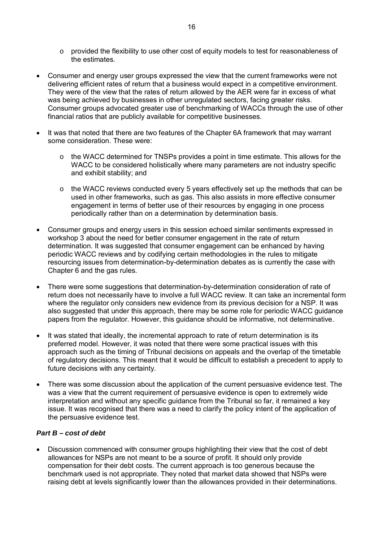- o provided the flexibility to use other cost of equity models to test for reasonableness of the estimates.
- Consumer and energy user groups expressed the view that the current frameworks were not delivering efficient rates of return that a business would expect in a competitive environment. They were of the view that the rates of return allowed by the AER were far in excess of what was being achieved by businesses in other unregulated sectors, facing greater risks. Consumer groups advocated greater use of benchmarking of WACCs through the use of other financial ratios that are publicly available for competitive businesses.
- It was that noted that there are two features of the Chapter 6A framework that may warrant some consideration. These were:
	- $\circ$  the WACC determined for TNSPs provides a point in time estimate. This allows for the WACC to be considered holistically where many parameters are not industry specific and exhibit stability; and
	- $\circ$  the WACC reviews conducted every 5 years effectively set up the methods that can be used in other frameworks, such as gas. This also assists in more effective consumer engagement in terms of better use of their resources by engaging in one process periodically rather than on a determination by determination basis.
- Consumer groups and energy users in this session echoed similar sentiments expressed in workshop 3 about the need for better consumer engagement in the rate of return determination. It was suggested that consumer engagement can be enhanced by having periodic WACC reviews and by codifying certain methodologies in the rules to mitigate resourcing issues from determination-by-determination debates as is currently the case with Chapter 6 and the gas rules.
- There were some suggestions that determination-by-determination consideration of rate of return does not necessarily have to involve a full WACC review. It can take an incremental form where the regulator only considers new evidence from its previous decision for a NSP. It was also suggested that under this approach, there may be some role for periodic WACC guidance papers from the regulator. However, this guidance should be informative, not determinative.
- It was stated that ideally, the incremental approach to rate of return determination is its preferred model. However, it was noted that there were some practical issues with this approach such as the timing of Tribunal decisions on appeals and the overlap of the timetable of regulatory decisions. This meant that it would be difficult to establish a precedent to apply to future decisions with any certainty.
- There was some discussion about the application of the current persuasive evidence test. The was a view that the current requirement of persuasive evidence is open to extremely wide interpretation and without any specific guidance from the Tribunal so far, it remained a key issue. It was recognised that there was a need to clarify the policy intent of the application of the persuasive evidence test.

## *Part B – cost of debt*

• Discussion commenced with consumer groups highlighting their view that the cost of debt allowances for NSPs are not meant to be a source of profit. It should only provide compensation for their debt costs. The current approach is too generous because the benchmark used is not appropriate. They noted that market data showed that NSPs were raising debt at levels significantly lower than the allowances provided in their determinations.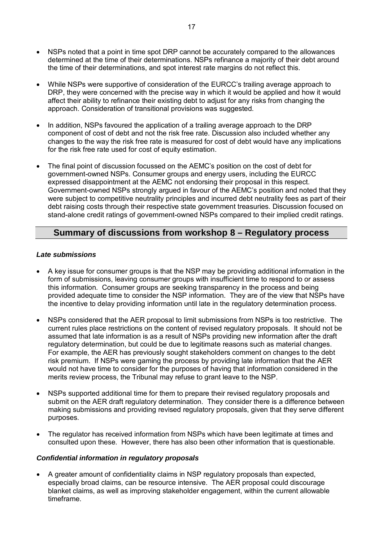- NSPs noted that a point in time spot DRP cannot be accurately compared to the allowances determined at the time of their determinations. NSPs refinance a majority of their debt around the time of their determinations, and spot interest rate margins do not reflect this.
- While NSPs were supportive of consideration of the EURCC's trailing average approach to DRP, they were concerned with the precise way in which it would be applied and how it would affect their ability to refinance their existing debt to adjust for any risks from changing the approach. Consideration of transitional provisions was suggested.
- In addition, NSPs favoured the application of a trailing average approach to the DRP component of cost of debt and not the risk free rate. Discussion also included whether any changes to the way the risk free rate is measured for cost of debt would have any implications for the risk free rate used for cost of equity estimation.
- The final point of discussion focussed on the AEMC's position on the cost of debt for government-owned NSPs. Consumer groups and energy users, including the EURCC expressed disappointment at the AEMC not endorsing their proposal in this respect. Government-owned NSPs strongly argued in favour of the AEMC's position and noted that they were subject to competitive neutrality principles and incurred debt neutrality fees as part of their debt raising costs through their respective state government treasuries. Discussion focused on stand-alone credit ratings of government-owned NSPs compared to their implied credit ratings.

## **Summary of discussions from workshop 8 – Regulatory process**

## *Late submissions*

- A key issue for consumer groups is that the NSP may be providing additional information in the form of submissions, leaving consumer groups with insufficient time to respond to or assess this information. Consumer groups are seeking transparency in the process and being provided adequate time to consider the NSP information. They are of the view that NSPs have the incentive to delay providing information until late in the regulatory determination process.
- NSPs considered that the AER proposal to limit submissions from NSPs is too restrictive. The current rules place restrictions on the content of revised regulatory proposals. It should not be assumed that late information is as a result of NSPs providing new information after the draft regulatory determination, but could be due to legitimate reasons such as material changes. For example, the AER has previously sought stakeholders comment on changes to the debt risk premium. If NSPs were gaming the process by providing late information that the AER would not have time to consider for the purposes of having that information considered in the merits review process, the Tribunal may refuse to grant leave to the NSP.
- NSPs supported additional time for them to prepare their revised regulatory proposals and submit on the AER draft regulatory determination. They consider there is a difference between making submissions and providing revised regulatory proposals, given that they serve different purposes.
- The regulator has received information from NSPs which have been legitimate at times and consulted upon these. However, there has also been other information that is questionable.

## *Confidential information in regulatory proposals*

• A greater amount of confidentiality claims in NSP regulatory proposals than expected, especially broad claims, can be resource intensive. The AER proposal could discourage blanket claims, as well as improving stakeholder engagement, within the current allowable timeframe.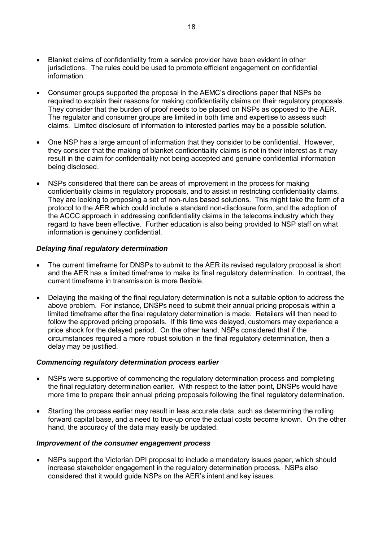- Blanket claims of confidentiality from a service provider have been evident in other jurisdictions. The rules could be used to promote efficient engagement on confidential information.
- Consumer groups supported the proposal in the AEMC's directions paper that NSPs be required to explain their reasons for making confidentiality claims on their regulatory proposals. They consider that the burden of proof needs to be placed on NSPs as opposed to the AER. The regulator and consumer groups are limited in both time and expertise to assess such claims. Limited disclosure of information to interested parties may be a possible solution.
- One NSP has a large amount of information that they consider to be confidential. However, they consider that the making of blanket confidentiality claims is not in their interest as it may result in the claim for confidentiality not being accepted and genuine confidential information being disclosed.
- NSPs considered that there can be areas of improvement in the process for making confidentiality claims in regulatory proposals, and to assist in restricting confidentiality claims. They are looking to proposing a set of non-rules based solutions. This might take the form of a protocol to the AER which could include a standard non-disclosure form, and the adoption of the ACCC approach in addressing confidentiality claims in the telecoms industry which they regard to have been effective. Further education is also being provided to NSP staff on what information is genuinely confidential.

#### *Delaying final regulatory determination*

- The current timeframe for DNSPs to submit to the AER its revised regulatory proposal is short and the AER has a limited timeframe to make its final regulatory determination. In contrast, the current timeframe in transmission is more flexible.
- Delaying the making of the final regulatory determination is not a suitable option to address the above problem. For instance, DNSPs need to submit their annual pricing proposals within a limited timeframe after the final regulatory determination is made. Retailers will then need to follow the approved pricing proposals. If this time was delayed, customers may experience a price shock for the delayed period. On the other hand, NSPs considered that if the circumstances required a more robust solution in the final regulatory determination, then a delay may be justified.

#### *Commencing regulatory determination process earlier*

- NSPs were supportive of commencing the regulatory determination process and completing the final regulatory determination earlier. With respect to the latter point, DNSPs would have more time to prepare their annual pricing proposals following the final regulatory determination.
- Starting the process earlier may result in less accurate data, such as determining the rolling forward capital base, and a need to true-up once the actual costs become known. On the other hand, the accuracy of the data may easily be updated.

#### *Improvement of the consumer engagement process*

• NSPs support the Victorian DPI proposal to include a mandatory issues paper, which should increase stakeholder engagement in the regulatory determination process. NSPs also considered that it would guide NSPs on the AER's intent and key issues.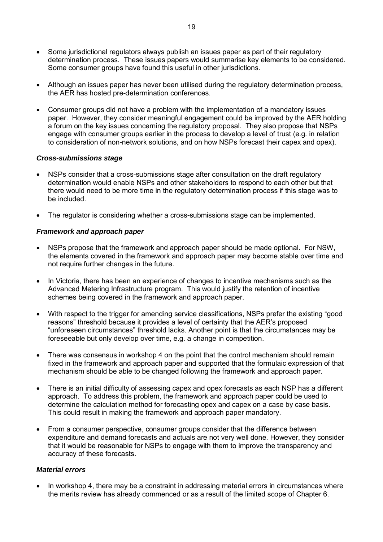- Some jurisdictional regulators always publish an issues paper as part of their regulatory determination process. These issues papers would summarise key elements to be considered. Some consumer groups have found this useful in other jurisdictions.
- Although an issues paper has never been utilised during the regulatory determination process, the AER has hosted pre-determination conferences.
- Consumer groups did not have a problem with the implementation of a mandatory issues paper. However, they consider meaningful engagement could be improved by the AER holding a forum on the key issues concerning the regulatory proposal. They also propose that NSPs engage with consumer groups earlier in the process to develop a level of trust (e.g. in relation to consideration of non-network solutions, and on how NSPs forecast their capex and opex).

#### *Cross-submissions stage*

- NSPs consider that a cross-submissions stage after consultation on the draft regulatory determination would enable NSPs and other stakeholders to respond to each other but that there would need to be more time in the regulatory determination process if this stage was to be included.
- The regulator is considering whether a cross-submissions stage can be implemented.

#### *Framework and approach paper*

- NSPs propose that the framework and approach paper should be made optional. For NSW, the elements covered in the framework and approach paper may become stable over time and not require further changes in the future.
- In Victoria, there has been an experience of changes to incentive mechanisms such as the Advanced Metering Infrastructure program. This would justify the retention of incentive schemes being covered in the framework and approach paper.
- With respect to the trigger for amending service classifications, NSPs prefer the existing "good reasons" threshold because it provides a level of certainty that the AER's proposed "unforeseen circumstances" threshold lacks. Another point is that the circumstances may be foreseeable but only develop over time, e.g. a change in competition.
- There was consensus in workshop 4 on the point that the control mechanism should remain fixed in the framework and approach paper and supported that the formulaic expression of that mechanism should be able to be changed following the framework and approach paper.
- There is an initial difficulty of assessing capex and opex forecasts as each NSP has a different approach. To address this problem, the framework and approach paper could be used to determine the calculation method for forecasting opex and capex on a case by case basis. This could result in making the framework and approach paper mandatory.
- From a consumer perspective, consumer groups consider that the difference between expenditure and demand forecasts and actuals are not very well done. However, they consider that it would be reasonable for NSPs to engage with them to improve the transparency and accuracy of these forecasts.

#### *Material errors*

• In workshop 4, there may be a constraint in addressing material errors in circumstances where the merits review has already commenced or as a result of the limited scope of Chapter 6.